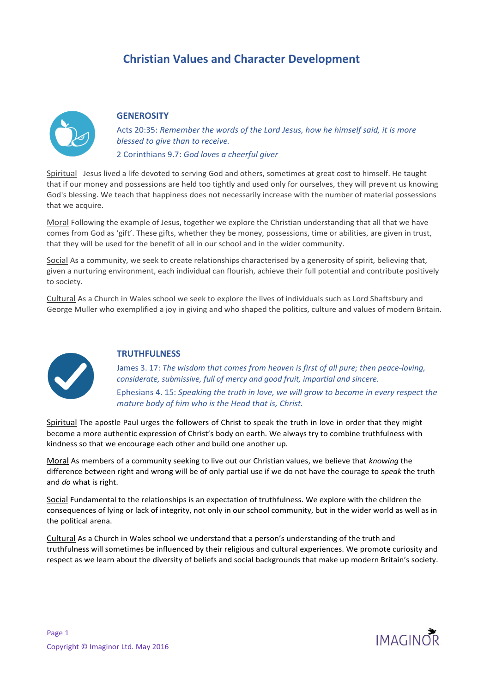# **Christian Values and Character Development**



## **GENEROSITY**

Acts 20:35: *Remember the words of the Lord Jesus, how he himself said, it is more blessed to give than to receive.* 2 Corinthians 9.7: *God loves a cheerful giver*

Spiritual Jesus lived a life devoted to serving God and others, sometimes at great cost to himself. He taught that if our money and possessions are held too tightly and used only for ourselves, they will prevent us knowing God's blessing. We teach that happiness does not necessarily increase with the number of material possessions that we acquire.

Moral Following the example of Jesus, together we explore the Christian understanding that all that we have comes from God as 'gift'. These gifts, whether they be money, possessions, time or abilities, are given in trust, that they will be used for the benefit of all in our school and in the wider community.

Social As a community, we seek to create relationships characterised by a generosity of spirit, believing that, given a nurturing environment, each individual can flourish, achieve their full potential and contribute positively to society.

Cultural As a Church in Wales school we seek to explore the lives of individuals such as Lord Shaftsbury and George Muller who exemplified a joy in giving and who shaped the politics, culture and values of modern Britain.



#### **TRUTHFULNESS**

James 3. 17: *The wisdom that comes from heaven is first of all pure; then peace-loving, considerate, submissive, full of mercy and good fruit, impartial and sincere.* Ephesians 4. 15: *Speaking the truth in love, we will grow to become in every respect the mature body of him who is the Head that is, Christ.*

Spiritual The apostle Paul urges the followers of Christ to speak the truth in love in order that they might become a more authentic expression of Christ's body on earth. We always try to combine truthfulness with kindness so that we encourage each other and build one another up.

Moral As members of a community seeking to live out our Christian values, we believe that *knowing* the difference between right and wrong will be of only partial use if we do not have the courage to *speak* the truth and *do* what is right.

Social Fundamental to the relationships is an expectation of truthfulness. We explore with the children the consequences of lying or lack of integrity, not only in our school community, but in the wider world as well as in the political arena.

Cultural As a Church in Wales school we understand that a person's understanding of the truth and truthfulness will sometimes be influenced by their religious and cultural experiences. We promote curiosity and respect as we learn about the diversity of beliefs and social backgrounds that make up modern Britain's society.

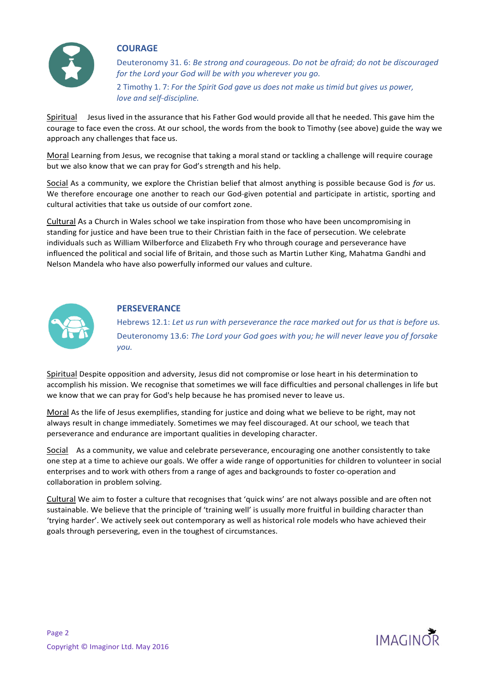

#### **COURAGE**

Deuteronomy 31. 6: *Be strong and courageous. Do not be afraid; do not be discouraged for the Lord your God will be with you wherever you go.* 2 Timothy 1. 7: *For the Spirit God gave us does not make us timid but gives us power, love and self-discipline.*

Spiritual Jesus lived in the assurance that his Father God would provide all that he needed. This gave him the courage to face even the cross. At our school, the words from the book to Timothy (see above) guide the way we approach any challenges that face us.

Moral Learning from Jesus, we recognise that taking a moral stand or tackling a challenge will require courage but we also know that we can pray for God's strength and his help.

Social As a community, we explore the Christian belief that almost anything is possible because God is *for* us. We therefore encourage one another to reach our God-given potential and participate in artistic, sporting and cultural activities that take us outside of our comfort zone.

Cultural As a Church in Wales school we take inspiration from those who have been uncompromising in standing for justice and have been true to their Christian faith in the face of persecution. We celebrate individuals such as William Wilberforce and Elizabeth Fry who through courage and perseverance have influenced the political and social life of Britain, and those such as Martin Luther King, Mahatma Gandhi and Nelson Mandela who have also powerfully informed our values and culture.



#### **PERSEVERANCE**

Hebrews 12.1: *Let us run with perseverance the race marked out for us that is before us.* Deuteronomy 13.6: *The Lord your God goes with you; he will never leave you of forsake you.*

Spiritual Despite opposition and adversity, Jesus did not compromise or lose heart in his determination to accomplish his mission. We recognise that sometimes we will face difficulties and personal challenges in life but we know that we can pray for God's help because he has promised never to leave us.

Moral As the life of Jesus exemplifies, standing for justice and doing what we believe to be right, may not always result in change immediately. Sometimes we may feel discouraged. At our school, we teach that perseverance and endurance are important qualities in developing character.

Social As a community, we value and celebrate perseverance, encouraging one another consistently to take one step at a time to achieve our goals. We offer a wide range of opportunities for children to volunteer in social enterprises and to work with others from a range of ages and backgrounds to foster co-operation and collaboration in problem solving.

Cultural We aim to foster a culture that recognises that 'quick wins' are not always possible and are often not sustainable. We believe that the principle of 'training well' is usually more fruitful in building character than 'trying harder'. We actively seek out contemporary as well as historical role models who have achieved their goals through persevering, even in the toughest of circumstances.

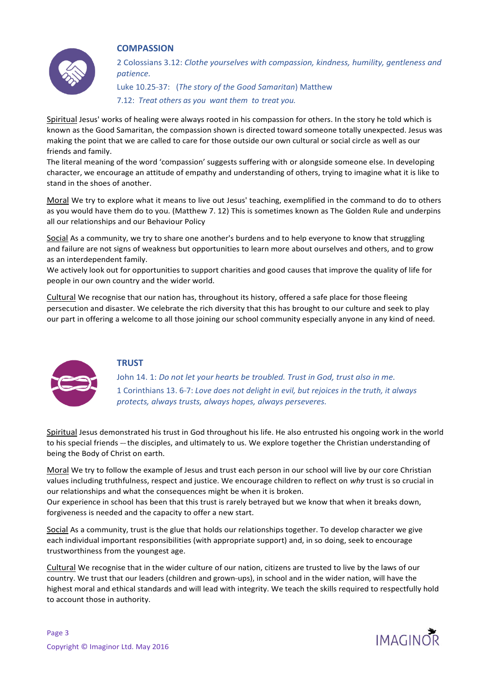

#### **COMPASSION**

2 Colossians 3.12: *Clothe yourselves with compassion, kindness, humility, gentleness and patience.*

Luke 10.25-37: (*The story of the Good Samaritan*) Matthew 7.12: *Treat others as you want them to treat you.*

Spiritual Jesus' works of healing were always rooted in his compassion for others. In the story he told which is known as the Good Samaritan, the compassion shown is directed toward someone totally unexpected. Jesus was making the point that we are called to care for those outside our own cultural or social circle as well as our friends and family.

The literal meaning of the word 'compassion' suggests suffering with or alongside someone else. In developing character, we encourage an attitude of empathy and understanding of others, trying to imagine what it is like to stand in the shoes of another.

Moral We try to explore what it means to live out Jesus' teaching, exemplified in the command to do to others as you would have them do to you. (Matthew 7. 12) This is sometimes known as The Golden Rule and underpins all our relationships and our Behaviour Policy

Social As a community, we try to share one another's burdens and to help everyone to know that struggling and failure are not signs of weakness but opportunities to learn more about ourselves and others, and to grow as an interdependent family.

We actively look out for opportunities to support charities and good causes that improve the quality of life for people in our own country and the wider world.

Cultural We recognise that our nation has, throughout its history, offered a safe place for those fleeing persecution and disaster. We celebrate the rich diversity that this has brought to our culture and seek to play our part in offering a welcome to all those joining our school community especially anyone in any kind of need.



## **TRUST**

John 14. 1: *Do not let your hearts be troubled. Trust in God, trust also in me.* 1 Corinthians 13. 6-7: *Love does not delight in evil, but rejoices in the truth, it always protects, always trusts, always hopes, always perseveres.*

Spiritual Jesus demonstrated his trust in God throughout his life. He also entrusted his ongoing work in the world to his special friends --- the disciples, and ultimately to us. We explore together the Christian understanding of being the Body of Christ on earth.

Moral We try to follow the example of Jesus and trust each person in our school will live by our core Christian values including truthfulness, respect and justice. We encourage children to reflect on *why* trust is so crucial in our relationships and what the consequences might be when it is broken.

Our experience in school has been that this trust is rarely betrayed but we know that when it breaks down, forgiveness is needed and the capacity to offer a new start.

Social As a community, trust is the glue that holds our relationships together. To develop character we give each individual important responsibilities (with appropriate support) and, in so doing, seek to encourage trustworthiness from the youngest age.

Cultural We recognise that in the wider culture of our nation, citizens are trusted to live by the laws of our country. We trust that our leaders (children and grown-ups), in school and in the wider nation, will have the highest moral and ethical standards and will lead with integrity. We teach the skills required to respectfully hold to account those in authority.

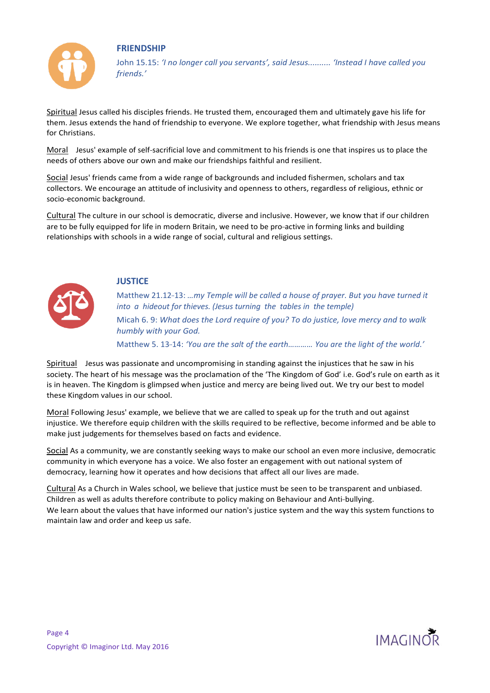



John 15.15: *'I no longer call you servants', said Jesus.......... 'Instead I have called you friends.'*

Spiritual Jesus called his disciples friends. He trusted them, encouraged them and ultimately gave his life for them. Jesus extends the hand of friendship to everyone. We explore together, what friendship with Jesus means for Christians.

Moral Jesus' example of self-sacrificial love and commitment to his friends is one that inspires us to place the needs of others above our own and make our friendships faithful and resilient.

Social Jesus' friends came from a wide range of backgrounds and included fishermen, scholars and tax collectors. We encourage an attitude of inclusivity and openness to others, regardless of religious, ethnic or socio-economic background.

Cultural The culture in our school is democratic, diverse and inclusive. However, we know that if our children are to be fully equipped for life in modern Britain, we need to be pro-active in forming links and building relationships with schools in a wide range of social, cultural and religious settings.



## **JUSTICE**

Matthew 21.12-13: *…my Temple will be called a house of prayer. But you have turned it into a hideout for thieves. (Jesus turning the tables in the temple)* Micah 6. 9: *What does the Lord require of you? To do justice, love mercy and to walk humbly with your God.*

Matthew 5. 13-14: *'You are the salt of the earth………… You are the light of the world.'*

Spiritual Jesus was passionate and uncompromising in standing against the injustices that he saw in his society. The heart of his message was the proclamation of the 'The Kingdom of God' i.e. God's rule on earth as it is in heaven. The Kingdom is glimpsed when justice and mercy are being lived out. We try our best to model these Kingdom values in our school.

Moral Following Jesus' example, we believe that we are called to speak up for the truth and out against injustice. We therefore equip children with the skills required to be reflective, become informed and be able to make just judgements for themselves based on facts and evidence.

Social As a community, we are constantly seeking ways to make our school an even more inclusive, democratic community in which everyone has a voice. We also foster an engagement with out national system of democracy, learning how it operates and how decisions that affect all our lives are made.

Cultural As a Church in Wales school, we believe that justice must be seen to be transparent and unbiased. Children as well as adults therefore contribute to policy making on Behaviour and Anti-bullying. We learn about the values that have informed our nation's justice system and the way this system functions to maintain law and order and keep us safe.

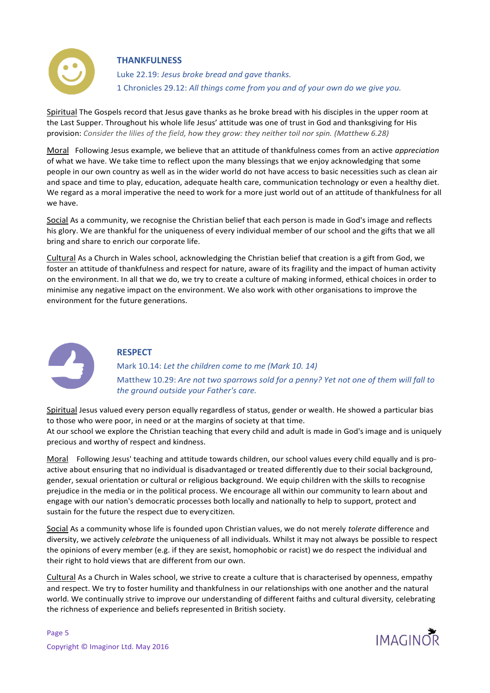

## **THANKFULNESS**

Luke 22.19: *Jesus broke bread and gave thanks.* 1 Chronicles 29.12: *All things come from you and of your own do we give you.*

Spiritual The Gospels record that Jesus gave thanks as he broke bread with his disciples in the upper room at the Last Supper. Throughout his whole life Jesus' attitude was one of trust in God and thanksgiving for His provision: *Consider the lilies of the field, how they grow: they neither toil nor spin. (Matthew 6.28)*

Moral Following Jesus example, we believe that an attitude of thankfulness comes from an active *appreciation*  of what we have. We take time to reflect upon the many blessings that we enjoy acknowledging that some people in our own country as well as in the wider world do not have access to basic necessities such as clean air and space and time to play, education, adequate health care, communication technology or even a healthy diet. We regard as a moral imperative the need to work for a more just world out of an attitude of thankfulness for all we have.

Social As a community, we recognise the Christian belief that each person is made in God's image and reflects his glory. We are thankful for the uniqueness of every individual member of our school and the gifts that we all bring and share to enrich our corporate life.

Cultural As a Church in Wales school, acknowledging the Christian belief that creation is a gift from God, we foster an attitude of thankfulness and respect for nature, aware of its fragility and the impact of human activity on the environment. In all that we do, we try to create a culture of making informed, ethical choices in order to minimise any negative impact on the environment. We also work with other organisations to improve the environment for the future generations.



## **RESPECT**

Mark 10.14: *Let the children come to me (Mark 10. 14)* Matthew 10.29: *Are not two sparrows sold for a penny? Yet not one of them will fall to the ground outside your Father's care.*

Spiritual Jesus valued every person equally regardless of status, gender or wealth. He showed a particular bias to those who were poor, in need or at the margins of society at that time. At our school we explore the Christian teaching that every child and adult is made in God's image and is uniquely precious and worthy of respect and kindness.

Moral Following Jesus' teaching and attitude towards children, our school values every child equally and is proactive about ensuring that no individual is disadvantaged or treated differently due to their social background, gender, sexual orientation or cultural or religious background. We equip children with the skills to recognise prejudice in the media or in the political process. We encourage all within our community to learn about and engage with our nation's democratic processes both locally and nationally to help to support, protect and sustain for the future the respect due to every citizen.

Social As a community whose life is founded upon Christian values, we do not merely *tolerate* difference and diversity, we actively *celebrate* the uniqueness of all individuals. Whilst it may not always be possible to respect the opinions of every member (e.g. if they are sexist, homophobic or racist) we do respect the individual and their right to hold views that are different from our own.

Cultural As a Church in Wales school, we strive to create a culture that is characterised by openness, empathy and respect. We try to foster humility and thankfulness in our relationships with one another and the natural world. We continually strive to improve our understanding of different faiths and cultural diversity, celebrating the richness of experience and beliefs represented in British society.